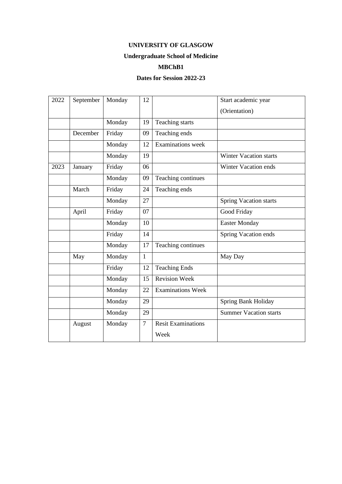# **Undergraduate School of Medicine**

#### **MBChB1**

| 2022 | September | Monday | 12             |                           | Start academic year           |
|------|-----------|--------|----------------|---------------------------|-------------------------------|
|      |           |        |                |                           | (Orientation)                 |
|      |           | Monday | 19             | Teaching starts           |                               |
|      | December  | Friday | 09             | Teaching ends             |                               |
|      |           | Monday | 12             | Examinations week         |                               |
|      |           | Monday | 19             |                           | <b>Winter Vacation starts</b> |
| 2023 | January   | Friday | 06             |                           | Winter Vacation ends          |
|      |           | Monday | 09             | Teaching continues        |                               |
|      | March     | Friday | 24             | Teaching ends             |                               |
|      |           | Monday | 27             |                           | Spring Vacation starts        |
|      | April     | Friday | 07             |                           | Good Friday                   |
|      |           | Monday | 10             |                           | <b>Easter Monday</b>          |
|      |           | Friday | 14             |                           | Spring Vacation ends          |
|      |           | Monday | 17             | Teaching continues        |                               |
|      | May       | Monday | $\mathbf{1}$   |                           | May Day                       |
|      |           | Friday | 12             | <b>Teaching Ends</b>      |                               |
|      |           | Monday | 15             | <b>Revision Week</b>      |                               |
|      |           | Monday | 22             | <b>Examinations Week</b>  |                               |
|      |           | Monday | 29             |                           | Spring Bank Holiday           |
|      |           | Monday | 29             |                           | <b>Summer Vacation starts</b> |
|      | August    | Monday | $\overline{7}$ | <b>Resit Examinations</b> |                               |
|      |           |        |                | Week                      |                               |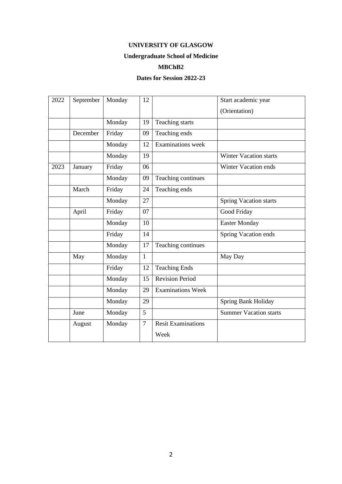# **Undergraduate School of Medicine**

#### **MBChB2**

| 2022 | September | Monday | 12           |                           | Start academic year           |
|------|-----------|--------|--------------|---------------------------|-------------------------------|
|      |           |        |              |                           | (Orientation)                 |
|      |           | Monday | 19           | Teaching starts           |                               |
|      | December  | Friday | 09           | Teaching ends             |                               |
|      |           | Monday | 12           | <b>Examinations</b> week  |                               |
|      |           | Monday | 19           |                           | <b>Winter Vacation starts</b> |
| 2023 | January   | Friday | 06           |                           | Winter Vacation ends          |
|      |           | Monday | 09           | Teaching continues        |                               |
|      | March     | Friday | 24           | Teaching ends             |                               |
|      |           | Monday | 27           |                           | <b>Spring Vacation starts</b> |
|      | April     | Friday | 07           |                           | Good Friday                   |
|      |           | Monday | 10           |                           | <b>Easter Monday</b>          |
|      |           | Friday | 14           |                           | Spring Vacation ends          |
|      |           | Monday | 17           | Teaching continues        |                               |
|      | May       | Monday | $\mathbf{1}$ |                           | May Day                       |
|      |           | Friday | 12           | <b>Teaching Ends</b>      |                               |
|      |           | Monday | 15           | <b>Revision Period</b>    |                               |
|      |           | Monday | 29           | <b>Examinations Week</b>  |                               |
|      |           | Monday | 29           |                           | Spring Bank Holiday           |
|      | June      | Monday | 5            |                           | <b>Summer Vacation starts</b> |
|      | August    | Monday | $\tau$       | <b>Resit Examinations</b> |                               |
|      |           |        |              | Week                      |                               |
|      |           |        |              |                           |                               |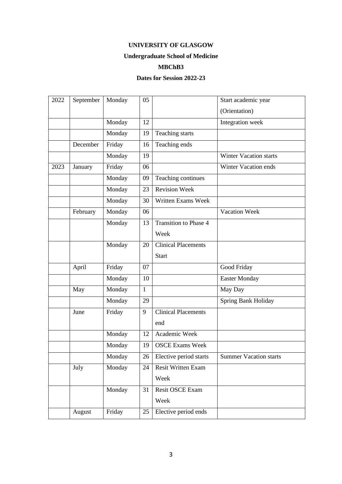# **Undergraduate School of Medicine**

#### **MBChB3**

| 2022 | September | Monday | 05           |                              | Start academic year           |
|------|-----------|--------|--------------|------------------------------|-------------------------------|
|      |           |        |              |                              | (Orientation)                 |
|      |           | Monday | 12           |                              | Integration week              |
|      |           | Monday | 19           | Teaching starts              |                               |
|      | December  | Friday | 16           | Teaching ends                |                               |
|      |           | Monday | 19           |                              | <b>Winter Vacation starts</b> |
| 2023 | January   | Friday | 06           |                              | <b>Winter Vacation ends</b>   |
|      |           | Monday | 09           | Teaching continues           |                               |
|      |           | Monday | 23           | <b>Revision Week</b>         |                               |
|      |           | Monday | 30           | <b>Written Exams Week</b>    |                               |
|      | February  | Monday | 06           |                              | Vacation Week                 |
|      |           | Monday | 13           | <b>Transition to Phase 4</b> |                               |
|      |           |        |              | Week                         |                               |
|      |           | Monday | 20           | <b>Clinical Placements</b>   |                               |
|      |           |        |              | Start                        |                               |
|      | April     | Friday | 07           |                              | Good Friday                   |
|      |           | Monday | 10           |                              | <b>Easter Monday</b>          |
|      | May       | Monday | $\mathbf{1}$ |                              | May Day                       |
|      |           | Monday | 29           |                              | Spring Bank Holiday           |
|      | June      | Friday | 9            | <b>Clinical Placements</b>   |                               |
|      |           |        |              | end                          |                               |
|      |           | Monday | 12           | Academic Week                |                               |
|      |           | Monday | 19           | <b>OSCE Exams Week</b>       |                               |
|      |           | Monday | 26           | Elective period starts       | <b>Summer Vacation starts</b> |
|      | July      | Monday | 24           | <b>Resit Written Exam</b>    |                               |
|      |           |        |              | Week                         |                               |
|      |           | Monday | 31           | Resit OSCE Exam              |                               |
|      |           |        |              | Week                         |                               |
|      | August    | Friday | 25           | Elective period ends         |                               |
|      |           |        |              |                              |                               |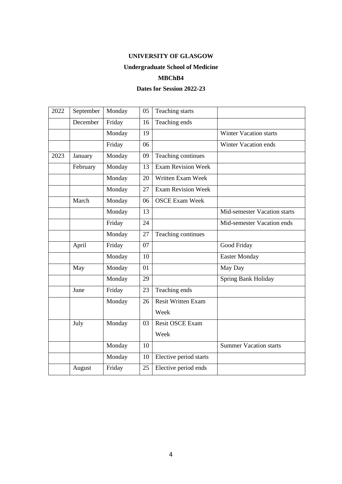# **Undergraduate School of Medicine**

#### **MBChB4**

| 2022 | September | Monday | 05 | Teaching starts           |                               |
|------|-----------|--------|----|---------------------------|-------------------------------|
|      | December  | Friday | 16 | Teaching ends             |                               |
|      |           | Monday | 19 |                           | <b>Winter Vacation starts</b> |
|      |           | Friday | 06 |                           | Winter Vacation ends          |
| 2023 | January   | Monday | 09 | Teaching continues        |                               |
|      | February  | Monday | 13 | <b>Exam Revision Week</b> |                               |
|      |           | Monday | 20 | Written Exam Week         |                               |
|      |           | Monday | 27 | <b>Exam Revision Week</b> |                               |
|      | March     | Monday | 06 | <b>OSCE Exam Week</b>     |                               |
|      |           | Monday | 13 |                           | Mid-semester Vacation starts  |
|      |           | Friday | 24 |                           | Mid-semester Vacation ends    |
|      |           | Monday | 27 | Teaching continues        |                               |
|      | April     | Friday | 07 |                           | Good Friday                   |
|      |           | Monday | 10 |                           | <b>Easter Monday</b>          |
|      | May       | Monday | 01 |                           | May Day                       |
|      |           | Monday | 29 |                           | Spring Bank Holiday           |
|      | June      | Friday | 23 | Teaching ends             |                               |
|      |           | Monday | 26 | <b>Resit Written Exam</b> |                               |
|      |           |        |    | Week                      |                               |
|      | July      | Monday | 03 | <b>Resit OSCE Exam</b>    |                               |
|      |           |        |    | Week                      |                               |
|      |           | Monday | 10 |                           | <b>Summer Vacation starts</b> |
|      |           | Monday | 10 | Elective period starts    |                               |
|      | August    | Friday | 25 | Elective period ends      |                               |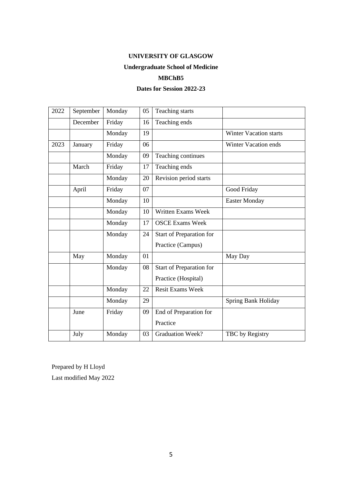# **Undergraduate School of Medicine**

#### **MBChB5**

#### **Dates for Session 2022-23**

| 2022 | September | Monday | 05 | Teaching starts           |                               |
|------|-----------|--------|----|---------------------------|-------------------------------|
|      | December  | Friday | 16 | Teaching ends             |                               |
|      |           | Monday | 19 |                           | <b>Winter Vacation starts</b> |
| 2023 | January   | Friday | 06 |                           | <b>Winter Vacation ends</b>   |
|      |           | Monday | 09 | Teaching continues        |                               |
|      | March     | Friday | 17 | Teaching ends             |                               |
|      |           | Monday | 20 | Revision period starts    |                               |
|      | April     | Friday | 07 |                           | Good Friday                   |
|      |           | Monday | 10 |                           | <b>Easter Monday</b>          |
|      |           | Monday | 10 | <b>Written Exams Week</b> |                               |
|      |           | Monday | 17 | <b>OSCE Exams Week</b>    |                               |
|      |           | Monday | 24 | Start of Preparation for  |                               |
|      |           |        |    | Practice (Campus)         |                               |
|      | May       | Monday | 01 |                           | May Day                       |
|      |           | Monday | 08 | Start of Preparation for  |                               |
|      |           |        |    | Practice (Hospital)       |                               |
|      |           | Monday | 22 | <b>Resit Exams Week</b>   |                               |
|      |           | Monday | 29 |                           | Spring Bank Holiday           |
|      | June      | Friday | 09 | End of Preparation for    |                               |
|      |           |        |    | Practice                  |                               |
|      | July      | Monday | 03 | <b>Graduation Week?</b>   | TBC by Registry               |

Prepared by H Lloyd

Last modified May 2022